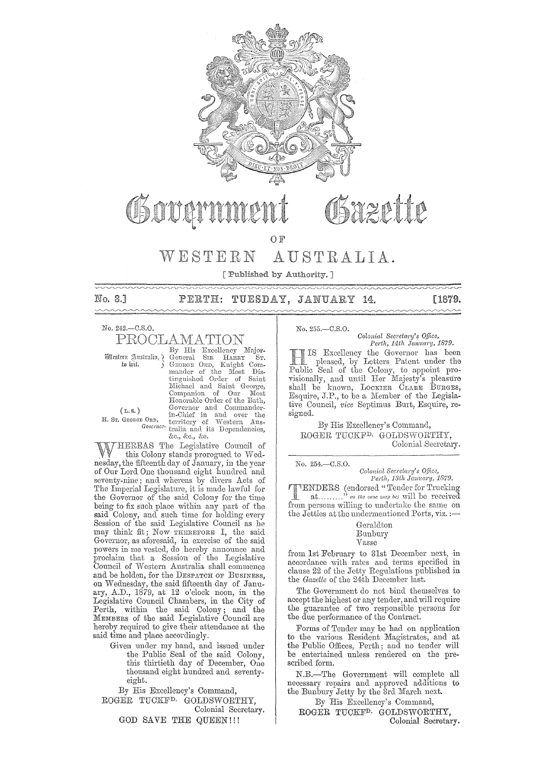

# OSazette Govann

#### $W E S T E R N$ AUSTRALIA.

[ Published by Authority.]

No. 3.1

# PERTH: TUESDAY, JANUARY 14.

## **L1879.**

No. 242.-C.S.O.

PROCLAMATION By His Excellency Major-

Mestern Australia, ¿ to lait.

 $(L.s.)$ H. Sr. Grongn Ord,

By His Excellency magor-<br>General Sin Haray Sr.<br>General Sen, Knight Com-<br>mander of the Most Dis-<br>tinguished Order of Saint Saint Michael and Saint George, Companion of Our Most<br>Honorable Order of the Bath, Governor and Commander-<br>in-Chief in and over the<br>E ORD, in-Chief in and over the<br>Governor tralia and its Dependencies, &c., &c., &c.

THEREAS The Legislative Council of W this Colony stands prorogued to Wednesday, the fifteenth day of January, in the year of Our Lord One thousand eight hundred and seventy-nine; and whereas by divers Acts of The Imperial Legislature, it is made lawful for<br>the Governor of the said Colony for the time being to fix such place within any part of the said Colony, and such time for holding every<br>Session of the said Legislative Council as he<br>may think fit; Now THEREFORE I, the said Governor, as aforesaid, in exercise of the said powers in me vested, do hereby announce and<br>proclaim that a Session of the Legislative<br>Council of Western Australia shall commence and be holden, for the DESPATCH OF BUSINESS, on Wednesday, the said fifteenth day of January, A.D., 1879, at 12 o'clock noon, in the Legislative Council Chambers, in the City of Perth, within the said Colony; and the MEMBERS of the said Legislative Council are hereby required to give their attendance at the said time and place accordingly.

Given under my hand, and issued under the Public Seal of the said Colony, this thirtieth day of December, One thousand eight hundred and seventy- $_{\rm{eight.}}$ 

By His Excellency's Command, ROGER TUCKF<sup>D.</sup> GOLDSWORTHY, Colonial Secretary. GOD SAVE THE QUEEN!!!

# No. 255, - C.S.O.

Colonial Secretary's Office, Perth, 14th January, 1879.

IS Excellency the Governor has been pleased, by Letters Patent under the Public Seal of the Colony, to appoint provisionally, and until Her Majesty's pleasure shall be known, LOCKIER CLARE BURGES, Esquire, J.P., to be a Member of the Legislative Council, vice Septimus Burt, Esquire, resigned.

By His Excellency's Command, ROGER TUCKF<sup>D.</sup> GOLDSWORTHY, Colonial Secretary.

No. 254.-C.S.O.

Colonial Secretary's Office,<br>Perth, 13th January, 1879.

**TENDERS** (endorsed "Tender for Trucking<br>at........." as the case may be will be received from persons willing to undertake the same on the Jetties at the undermentioned Ports, viz. :-

## Geraldton Bunbury

 $\rm Vasse$ 

from 1st February to 31st December next, in accordance with rates and terms specified in clause 22 of the Jetty Regulations published in the Gazette of the 24th December last.

The Government do not bind themselves to accept the highest or any tender, and will require the guarantee of two responsible persons for<br>the due performance of the Contract.

Forms of Tender may be had on application to the various Resident Magistrates, and at the Public Offices, Perth; and no tender will be entertained unless rendered on the prescribed form.

N.B.-The Government will complete all necessary repairs and approved additions to the Bunbury Jetty by the 3rd March next.

By His Excellency's Command, ROGER TUCKF<sup>D.</sup> GOLDSWORTHY, Colonial Secretary.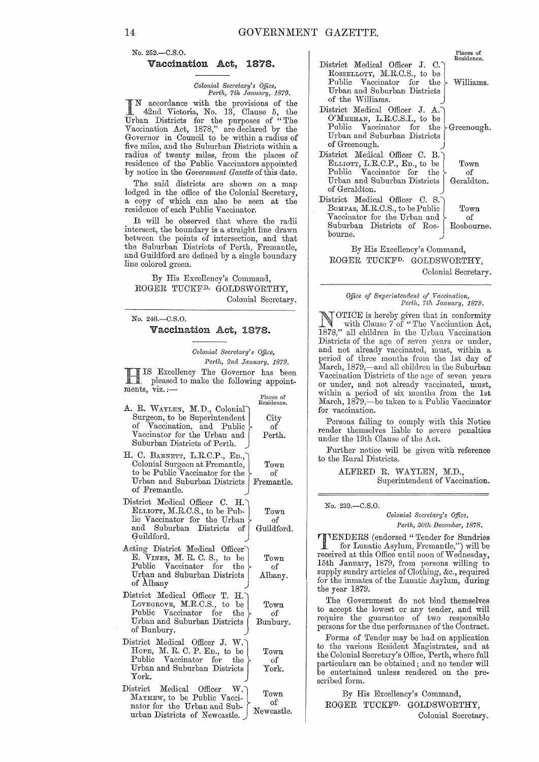No. 252.-C.S.0.

#### Vaccination Act, 1878.

*Colonial Secretary's Office,* Perth, 7th January, 1879.

IN accordance with the provisions of the 42nd Victoria, No. 13, Clause 5, the Urban Districts for the purposes of "The Vaccination Act, 1878," are declared by the Governor in Council to be within a radius of five miles, and the Suburban Districts within a radius of twenty miles, from the places of residence of the Public Vaccinators appointed by notice in the *Government Gazette* of this date.

The said districts are shown on a map lodged in the office of the Colonial Secretary, a copy of which can also be seen at the residence of each Public Vaccinator.

It will be observed that where the radii intersect, the boundary is a straight line drawn between the points of intersection, and that the Suburban Districts of Perth, Fremantle, and Guildford are defined by a single boundary line colored green.

By His Excellency's Command, ROGER TUCKFD. GOLDSWORTHY, Colonial Secretary.

No. 246.-C.S.0.

#### Vaccination Act, 1878.

*Colonial Secretary's Office,*  Perth, 2nd January, 1879.

> **City** of Perth.

> > Town of

Town of Albany.

> Town of

Town of York.

IS Excellency The Governor has been<br>pleased to make the following appointments,  $\bar{v}$ iz.;-Places of Residence.

- A. R. WAYLEN, M.D., Colonial Surgeon, to be Superintendent<br>of Vaccination and Public Vaccination, and Public Vaccinator for the Urban and Suburban Districts of Perth.
- H. C. BARNETT, L.R.C.P., ED., Colonial Surgeon at Fremantle, | Town to be Public Vaccinator for the  $\vert$  of Urban and Suburban Districts Fremantle. Urban and Suburban Districts of Fremantle.
- District Medical Officer C. H. ELLIOTT, M.R.C.S., to be Pub- $\mathrm{h\ddot{o}}$  Vaccinator for the Urban  $\}$ and Suburban Districts of Guildford. Guildford.
- Acting District Medical Officer E. VINES, M. R. C. S., to be Public Vaccinator for the Urban and Suburban Districts I of Albany j
- District Medical Officer T. H. LOVEGROVE, M.R.C.S., to be Public Vaccinator for the Urban and Suburban Districts I of Bunbury. Bunbury.
- District Medical Officer J. W. Hope, M. R. C. P. Ep., to be Public Vaccinator for the Urban and Suburban Districts York.
- MAYHEW, to be Public Vacci- Town District Medical Officer W. nator for the Urban and Sub- $\left\{\begin{array}{c} \text{or} \\ \text{Newcastle.} \end{array}\right\}$ urban Districts of Newcastle.

|                                                                                                                                                                           | Places of<br>Residence.  |
|---------------------------------------------------------------------------------------------------------------------------------------------------------------------------|--------------------------|
| District Medical Officer J. C.<br>ROSSELLOTY, M.R.C.S., to be<br>Public Vaccinator for the $\triangleright$ Williams.<br>Urban and Suburban Districts<br>of the Williams. |                          |
| District Medical Officer J. A.<br>O'MEEHAN, L.R.C.S.I., to be<br>Public Vaccinator for the $\big\}$ Greenough.<br>Urban and Suburban Districts<br>of Greenough.           |                          |
| District Medical Officer C. B.<br>ELLIOTT, L.R.C.P., ED., to be<br>Public Vaccinator for the<br>Urban and Suburban Districts<br>of Geraldton.                             | Town<br>of<br>Geraldton. |
| District Medical Officer C. S.<br>BOMPAS, M.R.C.S., to be Public<br>Vaccinator for the Urban and \,<br>Suburban Districts of Roe- Roebourne.<br>bourne.                   | T <sub>own</sub><br>of   |

By His Excellency's Command, ROGER TUCKFD. GOLDSWORTHY,

Colonial Secretary.

# *Office of Superintendent of Vaccination, Perth, 7th January, 1879.*

NOTICE is hereby given that in conformity<br>with Clause 7 of "The Vaccination Act,<br>1979." all shildren in the Urban Vaccination  $1878$ ," all children in the Urban Vaccination Districts of the age of seven years or under, and not already vaccinated, must, within a period of three months from the 1st day of March, 1879,—and all children in the Suburban Vaccination Districts of the age of seven years or under, and not already vaccinated, must, within a period of six months from the 1st March, 1879,—be taken to a Public Vaccinator for vaccination.

Persons failing to comply with this Notice render themselves liable to severe penalties under the 19th Clause of the Act.

Further notice will be given with reference to the Rural Districts.

> ALFRED R. WAYLEN, M.D., Superintendent of Vaccination.

No. 239.-C.S.0.

#### *Colonial Secretary's Office,*  $Perth, 30th$  *December*, 1878.

**IENDERS** (endorsed "Tender for Sundries for Lunatic Asylum, Fremantle,") will be received at this Office until noon of Wednesday, 15th January, 1879, from persons willing to supply sundry articles of Clothing, &c., required for the inmates of the Lunatic Asylum, during the year 1879.

The Government do not bind themselves to accept the lowest or any tender, and will require the guarantee of two responsible persons for the due performance of the Contract.

Forms of Tender may be had on application to the various Resident Magistrates, and at the Colonial Secretary's Office, Perth, where full particulars can be obtained; and no tender will be entertained unless rendered on the prescribed form.

By His Excellency's Command, ROGER TUCKFD. GOLDSWORTHY, Colonial Secretary.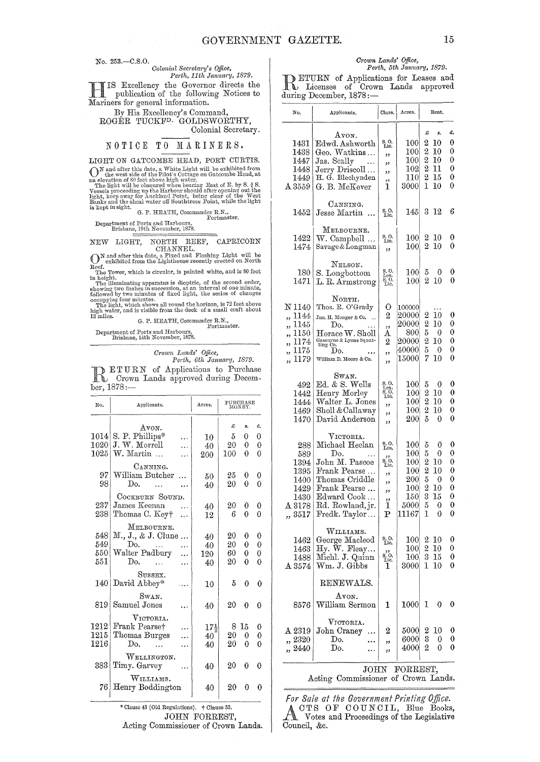No. 253.-C.S.0.

 ${\it Colonial Secretary's \; Office}$ , *Perth, 11th January, 1879.* 

H IS Excellency the Governor directs the publication of the fo11owing Notices to Mariners for general information.

By His Excellency's Command, ROGER TUCKFD. GOLDSWORTHY,

# Colonial Secretary.<br>NOTICE TO MARINERS.

LIGHT ON GATCOMBE HEAD, PORT CURTIS.

LIGHT ON GATCOMBE HEAD, POET CUETIS.<br>
(Note The Sate, a White Light will be exhibited from<br>
and after this daste, a Unit Light will be exhibited from<br>
The light will be observed high vater.<br>
The light will be observed whe

Portmaster.

Department of Ports and Harbours, Brisbane, 19th November, 1878.

# NEW LIGHT, NORTH REEF, CAPRICORN

CHANNEL.<br>
ON and after this date, a Fixed and Flashing Light will be<br>
Poof exhibited from the Lighthouse recently erected on North Reef. The Tower, which is circular, is painted white, and is 80 feet

in height.<br>The illuminating apparatus is dioptric, of the second order,<br>showing two flashes in succession, at an interval of one minute,<br>followed by two minutes of fixed light, the series of changes

occupying four minutes.<br>The light, which shows all round the horizon, is 72 feet above<br>high water, and is visible from the deck of a small craft about<br>13 miles. G. P. HEATH, Commander R.N.,

G. P. HEATH, Commander R.N., Portmaster.

Department of Ports and Harbours,<br>Brisbane, 14th November, 1878.

*Crown Lctnds' Office,* 

Perth, 6th January, 1879. **RETURN** of Applications to Purchase<br>Crown Lands approved during Decem $ber, 1878:$ 

| No.  | Applicants.           | Acres.          | PURCHASE<br>MONEY. |    |                |
|------|-----------------------|-----------------|--------------------|----|----------------|
|      | Avon.                 |                 | £                  | 8. | đ.             |
| 1014 | S. P. Phillips*       | 10              | 5                  | 0  | 0              |
| 1020 | J. W. Morrell         | 40              | 20                 | 0  | 0              |
| 1025 | W. Martin             | 200             | 100                | 0  | 0              |
|      | CANNING.              |                 |                    |    |                |
| 97   | William Butcher       | 50              | 25                 | 0  | 0              |
| 98   | $\mathbf{D}_{\Omega}$ | 40              | 20                 | 0  | 0              |
|      | COCKBURN SOUND.       |                 |                    |    |                |
| 2371 | James Keenan          | 40              | 20                 | 0  | 0              |
| 238  | Thomas C. Key+        | 12              | 6                  | 0  | 0              |
|      | MELBOURNE.            |                 |                    |    |                |
| 548  | M., J., & J. Clune    | 40              | 20                 | 0  | 0              |
| 549  | Do.                   | 40              | 20                 | 0  | $\theta$       |
| 550  | Walter Padbury        | 120             | 60                 | 0  | $\overline{0}$ |
| 551  | Do.                   | 40              | $^{20}$            | 0  | $\theta$       |
|      | SUSSEX.               |                 |                    |    |                |
| 140  | David Abbey*          | 10              | 5                  | 0  | 0              |
|      | SWAN.                 |                 |                    |    |                |
| 819  | Samuel Jones          | 40              | 20                 | 0  | 0              |
|      | $V$ ICTORIA.          |                 |                    |    |                |
| 1212 | Frank Pearset         | $17\frac{1}{2}$ | 8                  | 15 | 0              |
| 1215 | Thomas Burges         | 40              | 20                 | 0  | 0              |
| 1216 | Do.                   | 40              | 20                 | 0  | 0              |
|      | WELLINGTON.           |                 |                    |    |                |
| 383  | Timy. Garvey          | 40              | 20                 | 0  | 0              |
|      | WILLIAMS.             |                 |                    |    |                |
| 76   | Henry Boddington      | 40              | 20                 | 0  | 0              |

## JOHN FORREST,

Acting Commissioner of Crown Lands.

# *Crown Lands' Office,*<br>Perth, 5th January, 1879.

**RETURN** of Applications for Leases and<br>
Leader Licenses of Crown Lands approved<br>
during December 1979. during December, 1878:-

| No.                                                                                     | Applicants.                                                                                                                                                | Class.                                                                      | Acres.                                                                         | Rent.                                                                                                 |                                           |
|-----------------------------------------------------------------------------------------|------------------------------------------------------------------------------------------------------------------------------------------------------------|-----------------------------------------------------------------------------|--------------------------------------------------------------------------------|-------------------------------------------------------------------------------------------------------|-------------------------------------------|
| 1431<br>1438<br>1447<br>1448<br>1449<br>$\Delta\,3559$                                  | Avon.<br>Edwd. Ashworth<br>Geo. Watkins<br>Jas. Scally<br>Jerry Driscoll<br>H. G. Blechynden<br>G. B. McKever                                              | S.O.<br>Lic.<br>,,<br>,,<br>,,<br>,,<br>1                                   | 100<br>$100\,$<br>100<br>102<br>110<br>3000                                    | £<br>5,<br>2<br>10<br>2<br>10<br>2<br>10<br>$\boldsymbol{2}$<br>11<br>$\overline{2}$<br>15<br>1<br>10 | đ,<br>0<br>0<br>0<br>0<br>0<br>0          |
| 1452                                                                                    | CANNING.<br>Jesse Martin                                                                                                                                   | s. O.<br>Lic.                                                               | 145                                                                            | 3<br>12                                                                                               | 6                                         |
| 1422<br>1474                                                                            | MELBOURNE.<br>W. Campbell<br>Savage&Longman                                                                                                                | S. O.<br>Lic.<br>,,                                                         | 100<br>$100\,$                                                                 | 2<br>10<br>2<br>10                                                                                    | 0<br>0                                    |
| 180<br>1471                                                                             | NELSON.<br>S. Longbottom<br>L. R. Armstrong                                                                                                                | S. O.<br>Lea<br>S. O.<br>Lic.                                               | $100\,$<br>100                                                                 | 5<br>0<br>$\overline{2}$<br>10                                                                        | 0<br>0                                    |
| N 1140<br>,, 1144<br>1145<br>,,<br>1150<br>,,<br>1174<br>,,<br>1175<br>,,<br>1179<br>,, | NORTH.<br>Thos. R. O'Grady<br>Jno. H. Monger & Co.<br>Do.<br>Horace W. Sholl<br>Gascoyne & Lyons Squat-<br>ting Co.<br>Do.<br>William D. Moore & Co.       | 0<br>2<br>,,<br>А<br>2<br>,,<br>,,                                          | 100000<br>20000<br>20000<br>800<br>$20000\,$<br>40000<br>$15000\,$             | 2<br>10<br>$\overline{2}$<br>10<br>5<br>0<br>2<br>10<br>5<br>0<br>7<br>10                             | 0<br>0<br>0<br>0<br>0<br>0                |
| 492<br>1442<br>1444<br>1469<br>1470                                                     | Swan.<br>Ed. & S. Wells<br>Henry Morley<br>Walter L. Jones<br>Sholl & Callaway<br>David Anderson                                                           | S. O.<br>Lea<br>S. O.<br>Lic.<br>,,<br>,,<br>,,                             | $100 \,$<br>100<br>$100\,$<br>$100\,$<br>200                                   | 5<br>0<br>$\overline{2}$<br>10<br>2<br>10<br>$\overline{2}$<br>10<br>5<br>0                           | 0<br>0<br>0<br>0<br>0                     |
| 288<br>589<br>1394<br>1395<br>1400<br>1429<br>1430<br>$\Delta~3178$<br>,, 3517          | VICTORIA.<br>Michael Heelan<br>Do.<br>John M. Pascoe<br>Frank Pearse<br>Thomas Criddle<br>Frank Pearse<br>Edward Cook<br>Rd. Rowland, jr.<br>Fredk. Taylor | S.O.<br>Lea.<br>$s$ o.<br>Lic.<br>,,<br>,,<br>,,<br>,,<br>1<br>$\mathbf{P}$ | $100\,$<br>$100\,$<br>100<br>$100\,$<br>200<br>$100\,$<br>150<br>5000<br>11167 | 5<br>0<br>5<br>$\mathbf{0}$<br>2<br>10<br>2<br>10<br>5<br>0<br>2<br>10<br>3<br>15<br>5<br>0<br>1<br>0 | 0<br>0<br>0<br>0<br>0<br>0<br>0<br>0<br>0 |
| 1462<br>1463<br>1488<br>$\Delta~3574$                                                   | WILLIAMS.<br>George Macleod<br>Hy. W. Fleay<br>Michl. J. Quinn<br>Wm. J. Gibbs                                                                             | $_{\rm Lie}^{\rm S.~O.}$<br>$s$ o.<br>Lic.<br>1                             | 100<br>100<br>100 <sub>i</sub><br>3000                                         | 2<br>10<br>$\overline{\mathbf{2}}$<br>10<br>$15\,$<br>3<br>1<br>10                                    | 0<br>0<br>0<br>0                          |
| 8576                                                                                    | RENEWALS.<br>Атом.<br>William Sermon                                                                                                                       | 1                                                                           | 1000                                                                           | 1<br>0                                                                                                | 0                                         |
| $\Delta~2319$<br>,, 2320<br>,, 2440                                                     | VICTORIA.<br>John Craney<br>Do.<br>Do.                                                                                                                     | 2<br>,,<br>,,                                                               | 5000<br>6000<br>4000                                                           | 2<br>10<br>3<br>0<br>2<br>0                                                                           | 0<br>0<br>0                               |

*For Sale at the Government Printing Office.*  ACTS OF COUNCIL, Blue Books, Votes and Proceedings of the Legislative Council, &c.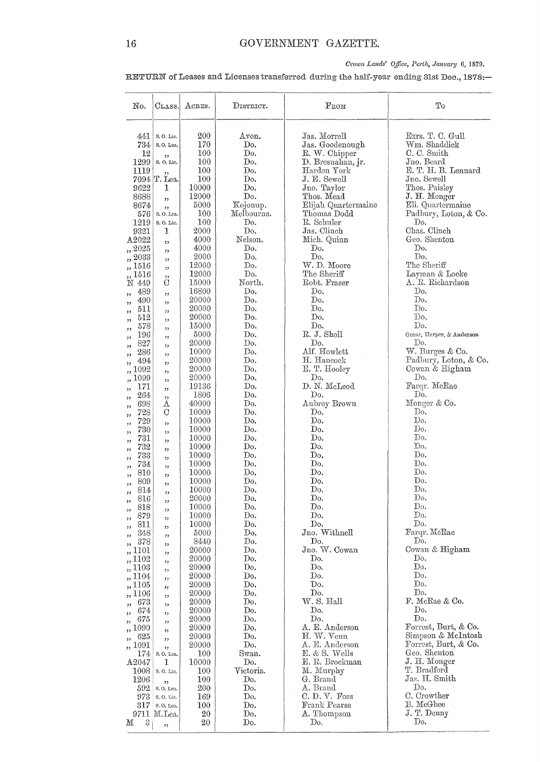# Crown Lands' Office, Perth, January 6, 1879.

RETURN of Leases and Licenses transferred during the half-year ending 31st Dec., 1878:-

| No.                       | CLASS.               | ACRES.         | DISTRICT.             | $_{\rm From}$             | To                            |
|---------------------------|----------------------|----------------|-----------------------|---------------------------|-------------------------------|
| 441                       | S.O. Lic.            | 200            | Avon.                 | Jas. Morrell              | Exrs. T. C. Gull              |
| 734                       | S.O. Lea.            | 170            | Do.                   | Jas. Goodenough           | Wm. Shaddick                  |
| 12                        | ,,                   | 100            | Do.                   | R. W. Chipper             | C. C. Smith                   |
| 1299                      | S.O.Lic.             | 100            | Do.                   | D. Bresnahan, jr.         | Jno. Beard                    |
| 1119                      | ,,                   | 100            | Do.                   | Harden York               | E. T. H. B. Lennard           |
|                           | 7094 T. Lea.         | 100            | $\operatorname{Do}$ . | J. E. Sewell              | Jno. Sewell                   |
| 9622                      | 1                    | 10000<br>12000 | Do.<br>Do.            | Jno. Taylor<br>Thos. Mead | Thos. Paisley<br>J. H. Monger |
| 8688<br>8674              | ,,                   | 5000           | Kojonup.              | Elijah Quartermaine       | Eli. Quartermaine             |
| 576                       | , ,<br>S. O. Lea.    | 100            | Melbourne.            | Thomas Dodd               | Padbury, Loton, & Co.         |
| 1219                      | S. O. Lic.           | 100            | Do.                   | R. Schuler                | Do.                           |
| 9321                      | 1                    | 2000           | Do.                   | Jas. Clinch               | Chas. Clinch                  |
| A2022                     | ,,                   | 4000           | Nelson.               | Mich. Quinn               | Geo. Shenton                  |
| ,, 2025                   | ,,                   | 4000           | Do.                   | Do.                       | Do.                           |
| ,, 2033                   | ,,                   | 2000           | Do.                   | Do.                       | Do.                           |
| 1516                      | , 2                  | 12000          | Do.                   | W. D. Moore               | The Sheriff                   |
| 1516                      | ,,                   | 12000          | Do.                   | The Sheriff               | Layman & Locke                |
| N 449                     | С                    | 15000          | North.                | Robt. Fraser              | A. R. Richardson              |
| 489<br>,,                 | ,,                   | 16800          | Do.<br>Do.            | Do.<br>Do.                | Do.<br>Do.                    |
| 490<br>,,<br>511          | , 2, 3               | 20000<br>20000 | Do.                   | Do.                       | Do.                           |
| ,,<br>512                 | ,,                   | 20000          | Do.                   | Do.                       | Do.                           |
| 22<br>578                 | "                    | 15000          | Do.                   | Do.                       | Do.                           |
| ,,<br>$^{196}$<br>$^{22}$ | ,,<br>"              | 5000           | Do.                   | R. J. Sholl               | Grant, Harper, & Anderson     |
| 827<br>,,                 | ,,                   | 20000          | Do.                   | Do.                       | D٥.                           |
| 286<br>,,                 | ,,                   | 10000          | Do.                   | Alf. Howlett              | W. Burges & Co.               |
| 494<br>, ,                | 97                   | 20000          | Do.                   | H. Hancock                | Padbury, Loton, & Co.         |
| $1092\,$<br>,,            | "                    | 20000          | Do.                   | E. T. Hooley              | Cowan & Higham                |
| 1099<br>"                 | "                    | 20000          | Do.                   | Do.                       | Do.                           |
| 171<br>, ,                | "                    | 19136          | Do.                   | D. N. McLeod              | Farqr. McRae                  |
| 264<br>"                  | , ,                  | 1806<br>40000  | Do.<br>Do.            | Do.<br>Aubrey Brown       | Do.<br>Monger & Co.           |
| 698<br>,,<br>728          | Α<br>$\rm C$         | 10000          | Do.                   | Do.                       | Do.                           |
| ,,<br>729                 |                      | 10000          | Do.                   | Do.                       | Do.                           |
| ,,<br>730                 | , 2, 3<br>"          | 10000          | Do.                   | Do.                       | Do.                           |
| ,,<br>731<br>,,           | ,,                   | 10000          | Do.                   | Do.                       | Do.                           |
| 732<br>"                  | ,,                   | 10000          | Do.                   | Do.                       | Do.                           |
| 733<br>,,                 | "                    | 10000          | Do.                   | Do.                       | Do.                           |
| 734<br>,,                 | , 2, 3               | 10000          | Do.                   | Do.                       | Do.                           |
| 810<br>,,                 | ,,                   | 10000          | Do.                   | Do.                       | Do.<br>Do.                    |
| 809<br>,,                 | ,,                   | 10000          | Do.<br>Do.            | Do.<br>Do.                | Do.                           |
| 814<br>816                |                      | 10000<br>20000 | Do.                   | Do.                       | Do.                           |
| ,,<br>818                 | ,,                   | 10000          | Do.                   | Do.                       | Do.                           |
| $^{12}$<br>879            | ,,<br>"              | 10000          | Do.                   | Do.                       | Do.                           |
| ,,<br>811<br>,,           | "                    | 10000          | Do.                   | Do.                       | Do.                           |
| 348<br>22                 | , 2, 3               | 5000           | Do.                   | Jno. Withnell             | Farqr. McRae                  |
| 378<br>$_{22}$            | ,,                   | 8440           | Do.                   | Do.                       | Do.                           |
| 1101                      | ,,                   | 20000          | Do.                   | Jno. W. Cowan             | Cowan & Higham                |
| ,, 1102                   | ,,                   | 20000          | Do.                   | Do.                       | Do.<br>Do.                    |
| ,, 1103                   | "                    | 20000<br>20000 | Do.<br>Do.            | Do.<br>Do.                | Do.                           |
| ,, 1104<br>,, 1105        | 22.5                 | 20000          | Do.                   | Do.                       | Do.                           |
| ,, 1106                   | ,,                   | 20000          | Do.                   | Do.                       | Do.                           |
| 673                       | ,,                   | 20000          | Do.                   | W. S. Hall                | F. McRae & Co.                |
| ,,<br>674<br>,,           | ,,<br>,,             | 20000          | Do.                   | Do.                       | Do.                           |
| 675<br>,,                 | "                    | 20000          | Do.                   | Do.                       | Do.                           |
| ,, 1090                   | "                    | 20000          | Do.                   | A. E. Anderson            | Forrest, Burt, & Co.          |
| 625<br>,,                 | ,,                   | 20000          | Do.                   | H. W. Venn                | Simpson & McIntosh            |
| ,, 1091                   | 55                   | 20000          | Do.                   | A. E. Anderson            | Forrest, Burt, & Co.          |
| 174                       | S. O. Lea.           | 100            | Swan.                 | $E. & S.$ Wells           | Geo. Shenton                  |
| A2047                     | 1                    | 10000          | Do.                   | E. R. Brockman            | J. H. Monger<br>T. Bradford   |
| 1008<br>1206              | S.O.Lic.             | 100<br>100     | Victoria.<br>Do.      | M. Murphy<br>G. Brand     | Jas. H. Smith                 |
| 592                       | , 1, 3<br>S. O. Lea. | 200            | Do.                   | A. Brand                  | Do.                           |
| 973                       | S. O. Lie.           | 169            | Do.                   | C.D.V. Foss               | C. Crowther                   |
|                           | $317$ s. O. Lea.     | 100            | Do.                   | Frank Pearse              | B. McGhee                     |
|                           | 9711 M. Lea.         | 20             | Do.                   | A. Thompson               | J. T. Denny                   |
| 3<br>М                    | ,,                   | 20             | Do.                   | Do.                       | Do.                           |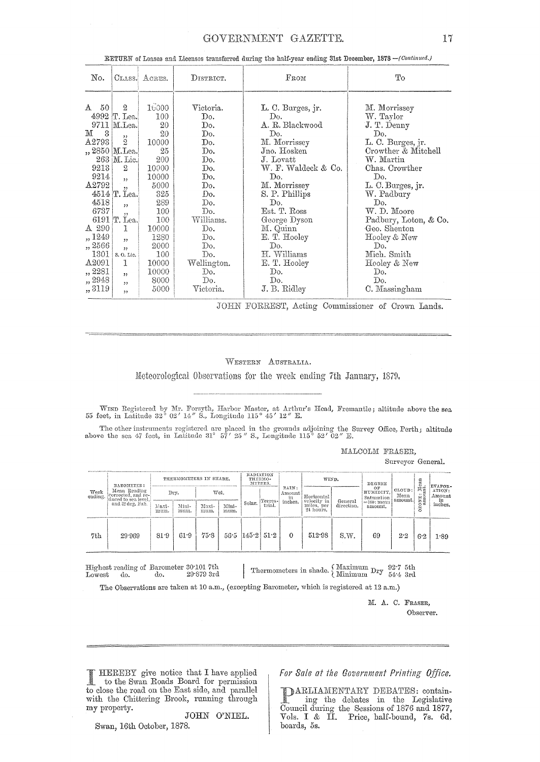## GOVERNMENT GAZETTE.

| No.                                                                                                                                                          | CLASS.                                                                                                                                                                                                                                       | ACRES.                                                                                                                                                         | DISTRICT.                                                                                                                                                           | $_{\rm From}$                                                                                                                                                                                                                                                                         | Tо                                                                                                                                                                                                                                                                                                      |
|--------------------------------------------------------------------------------------------------------------------------------------------------------------|----------------------------------------------------------------------------------------------------------------------------------------------------------------------------------------------------------------------------------------------|----------------------------------------------------------------------------------------------------------------------------------------------------------------|---------------------------------------------------------------------------------------------------------------------------------------------------------------------|---------------------------------------------------------------------------------------------------------------------------------------------------------------------------------------------------------------------------------------------------------------------------------------|---------------------------------------------------------------------------------------------------------------------------------------------------------------------------------------------------------------------------------------------------------------------------------------------------------|
| 50 <sub>o</sub><br>A<br>3<br>м<br>$\rm A2793$<br>9213<br>9214<br>A2792<br>4518<br>6737<br>A 290<br>,, 1249<br>,, 2566<br>1301<br>A2091<br>,, 2281<br>,, 2948 | $\boldsymbol{2}$<br>4992 Г. Lea.<br>9711   M. Lea.<br>, ,<br>$\overline{2}$<br>,, 2850   M.Lea.<br>263   M. Lic.<br>$\overline{2}$<br>,<br>,<br>4514 T. Lea.<br>,,<br>, 2, 3<br>6191 Т. Lea.<br>1<br>,,<br>,<br>S. O. Lic.<br>1<br>,,<br>, , | 16000<br>100<br>20<br>20<br>10000<br>25<br>200<br>10000<br>10000<br>5000<br>325<br>289<br>100<br>100<br>10000<br>1280<br>2000<br>100<br>10000<br>10000<br>8000 | Victoria.<br>Do.<br>Do.<br>Do.<br>Do.<br>Do.<br>Do.<br>Do.<br>Do.<br>Do.<br>Do.<br>Do.<br>Do.<br>Williams.<br>Do.<br>Do.<br>Do.<br>Do.<br>Wellington.<br>Do.<br>Do. | L. C. Burges, jr.<br>Do.<br>A. R. Blackwood<br>Do.<br>M. Morrissey<br>Jno. Hosken<br>J. Lovatt<br>W. F. Waldeck & Co.<br>Do.<br>M. Morrissey<br>S. P. Phillips<br>Do.<br>Est. T. Ross<br>George Dyson<br>M. Quinn<br>E. T. Hooley<br>Do.<br>H. Williams<br>E. T. Hooley<br>Do.<br>Do. | M. Morrissey<br>W. Taylor<br>J. T. Denny<br>Do.<br>L. C. Burges, jr.<br>Crowther & Mitchell<br>W. Martin<br>Chas. Crowther<br>Do.<br>L. C. Burges, jr.<br>W. Padbury<br>Do.<br>W. D. Moore<br>Padbury, Loton, & Co.<br>Geo. Shenton<br>Hooley & New<br>Do.<br>Mich. Smith<br>Hooley & New<br>Do.<br>Do. |
| ,,3119                                                                                                                                                       | , 2                                                                                                                                                                                                                                          | 5000                                                                                                                                                           | $\rm Victoria.$                                                                                                                                                     | J. B. Ridley                                                                                                                                                                                                                                                                          | C. Massingham                                                                                                                                                                                                                                                                                           |

RETURN of Leases and Licenses transferred during the half-year ending 31st December, 1878 - (Continued.)

JOHN FORREST, Acting Commissioner of Crown Lands.

#### WESTERN AUSTRALIA.

Meteorological Observations for the week ending 7th January, 1879.

WIND Registered by Mr. Forsyth, Harbor Master, at Arthur's Head, Fremantle; altitude above the sea 55 feet, in Latitude 32° 02' 14" S., Longitude 115° 45' 12" E.

The other instruments registered are placed in the grounds adjoining the Survey Office, Perth; altitude above the sea 47 feet, in Latitude 31° 57' 25" S., Longitude 115° 52' 02" E.

MALCOLM FRASER,

Surveyor General.

| Week<br>ending. | BAROMETER:<br>Mean Reading<br>corrected, and re-<br>duced to sea level.<br>and 32 deg, Fah. |               |               | RADIATION<br>THERMOMETERS IN SHADE.<br>THERMO-<br>METERS. |               |                       | WIND.   |                                 | DEGREE                    |                       |                               | EVAPOR-                   |                        |                  |
|-----------------|---------------------------------------------------------------------------------------------|---------------|---------------|-----------------------------------------------------------|---------------|-----------------------|---------|---------------------------------|---------------------------|-----------------------|-------------------------------|---------------------------|------------------------|------------------|
|                 |                                                                                             |               | Dry.          |                                                           | Wet.          |                       | Terres- | RAIN:<br>Amount<br>m<br>inches. | Horizontal<br>velocity in |                       | ΟF<br>HUMIDITY.<br>Saturation | CLOUD:<br>Mean<br>amount. | 봄<br><br>$\frac{0}{2}$ | ATION:<br>Amount |
|                 |                                                                                             | Maxi-<br>mum. | Mini-<br>mum. | Maxi-<br>mum.                                             | Mini-<br>mum. | Solar.                | trial.  |                                 | miles, per<br>24 hours.   | General<br>direction. | $=100$ : mean<br>amount.      |                           | Š                      | in<br>inches.    |
| 7th             | 29.969                                                                                      | 81.9          | 61.9          | 75.8                                                      |               | $56.5$ $145.2$ $51.2$ |         | 0                               | 512.98                    | S.W.                  | 69                            | 2.2                       | 6.2                    | 1:89             |

Highest reading of Barometer 30:101 7th  $29$ 879 $3 \mathrm{rd}$ Lowest do. do.

Thermometers in shade.  $\left\{\begin{array}{lcl} \text{Maximum } \text{Dry} & 92.7 & 5 \text{th} \\ \text{Minimum } \text{Dry} & 54.4 & 3 \text{rd} \end{array}\right.$ 

The Observations are taken at 10 a.m., (excepting Barometer, which is registered at 12 a.m.)

M. A. C. FRASER, Observer.

HEREBY give notice that I have applied to the Swan Roads Board for permission to close the road on the East side, and parallel with the Chittering Brook, running through my property.

JOHN O'NIEL. Swan, 16th October, 1878.

For Sale at the Government Printing Office.

DARLIAMENTARY DEBATES: containing the debates in the Legislative Council during the Sessions of 1876 and 1877, Vols. I & II. Price, half-bound, 7s. 6d. boards, 5s.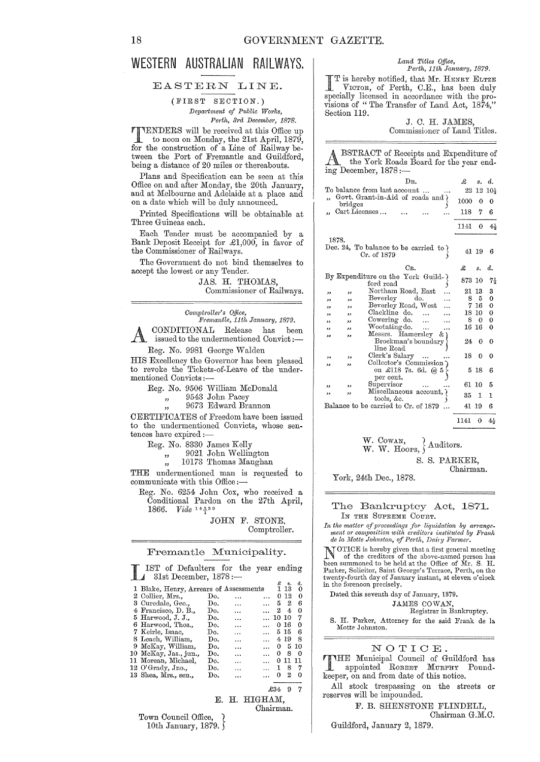# **WESTERN AUSTRALIAN RAILWAYS.**

## EASTERN LINE.

#### (FIRST SECTION.) *Department of P11blic Works, Pe1·th, 31'd December, 1878.*

TENDERS will be received at this Office up to noon on Monday, the 21st April, 1879, for the construction of a Line of Railway between the Port of Fremantle and Guildford, being a distance of 20 miles or thereabouts.

Plans and Specification can be seen at this Office on and after Monday, the 20th January, and at Melbourne and Adelaide at a place and on a date which will be duly announced.

Printed Specifications will be obtainable at Three Guineas each.

Each Tender must be accompanied by a Bank Deposit Receipt for £1,000, in favor of the Commissioner of Railways.

The Government do not bind themselves to accept the lowest or any Tender.

JAS. H. THOMAS,

Commissioner of Railways.

*COml)troller's Office,* 

*I!'j'emantle, 11th Jam!a1'Y, 1879.*  A CONDITIONAL Release has been<br>issued to the undermentioned Convict :-

Reg. No. 9981 George Walden

HIS Excellency the Governor has been pleased to revoke the Tickets-of-Leave of the under-<br>mentioned Convicts :-

|  |  |  |  |  | Reg. No. 9506 William McDonald |
|--|--|--|--|--|--------------------------------|
|--|--|--|--|--|--------------------------------|

" 9543 John Pacey

,, 9673 Edward Brannon

CERTIFICATES of Freedom have been issued to the undermentioned Convicts, whose sentences have expired:-

Reg. No. 8330 James Kelly

" 9021 John Wellington

10173 Thomas Maughan

THE undermentioned man is requested to communicate with this Office:-

Reg. No. 6254 John Cox, who received a Conditional Pardon on the 27th April, 1866. *Vide* 14339

> JOHN F. STONE, Comptroller.

E. H. HIGHAM,

Chairman.

#### Fremantle Municipality.

LIST of Defaulters for the year ending 31st December, 1878:-£ s. d.

|                                        |     |                      | x     | я.    | α.       |  |
|----------------------------------------|-----|----------------------|-------|-------|----------|--|
| 1 Blake, Henry, Arrears of Assessments |     |                      |       | 13    | 0        |  |
| 2 Collier, Mrs.,                       | Do. | .                    | 0     | 12    | 0        |  |
| 3 Curedale, Geo.,                      | Do. | .                    | 52    |       | 6        |  |
| 4 Francisco, D. B.,                    | Do. |                      | 2     | 4     | 0        |  |
| 5 Harwood, J. J.,                      | Do. |                      | 10 10 |       | 7        |  |
| 6 Harwood, Thos.,                      | Do. |                      | 0     | -16   | $\Omega$ |  |
| 7 Keirle, Isaac,                       | Do. | .                    | 5 15  |       | 6        |  |
| 8 Leach, William,                      | Do. |                      | 4 19  |       | 8        |  |
| 9 McKay, William,                      | Do. | .                    | 0     |       | 5 10     |  |
| 10 McKay, Jas., jun.,                  | Do. | .                    | 0     | 8     | 0        |  |
| 11 Morean, Michael,                    | Do. | .                    | 0     | 11 II |          |  |
| $12 \text{ O'Grady}$ , Jno.,           | Do. | $\ddot{\phantom{a}}$ | 1     | 8     | 7        |  |
| 13 Shea, Mrs., sen.,                   | Do. |                      | Ω     | 2     | 0        |  |
|                                        |     |                      |       |       |          |  |
|                                        |     |                      | £34   | 9     |          |  |

Town Council Office, 10th January, 1879.

#### *Land Titles Office,*  Perth, 11th January, 1879.

I T is hereby notified, that Mr. HENRY ELTZE VICTOR, of Perth, C.E., has been duly specially licensed in accordance with the provisions of " The Transfer of Land Act, 1874," Section 119.

> J. C. H. JAMES, Commissioner of Land Titles.

ABSTRACT of Receipts and Expenditure of the York Roads Board for the year ending December, 1878:-

| Dв.                                                                     | £.    | s.       | d.              |
|-------------------------------------------------------------------------|-------|----------|-----------------|
| To balance from last account                                            | 22    | 12       | 10 <sub>1</sub> |
| Govt. Grant-in-Aid of roads and )<br>bridgees                           | 1000  | 0        | o               |
| Cart Licenses                                                           | 118   | 7        | 6               |
|                                                                         |       |          |                 |
|                                                                         | 1141  | 0        | $4+$            |
| 1878.                                                                   |       |          |                 |
| Dec. 24, To balance to be carried to $\rangle$<br>Cr. of 1879           | 41 19 |          | 6               |
| CR.                                                                     | £     | s.       | d.              |
| By Expenditure on the York Guild-<br>ford road                          | 873   | 10       | 74              |
| Northam Road, East<br>,,<br>دد                                          | 21    | 13       | 3               |
| Beverley do.<br>دد<br>,,                                                | 8     | - 5      | 0               |
| Beverley Road, West<br>,,<br>دد                                         | 7     | -16      | 0               |
| Clackline do.<br>$\ddot{\phantom{a}}$<br>,,<br>$^{\prime}$              | 18 10 |          | 0               |
| Cowering do.<br>$\ddotsc$<br>,,<br>, ,                                  | 8     | $\Omega$ | 0               |
| Wootating do.<br>$\ddotsc$<br>وو<br>,,                                  | 16 16 |          | 0               |
| Messis. Hamersley<br>öτ<br>وو<br>وو<br>Brockman's boundary<br>line Road | 24    | 0        | 0               |
| Clerk's Salary<br>$\cdots$<br>,,<br>,,                                  | 18    | 0        | θ               |
| Collector's Commission<br>دد<br>دد<br>on £118 7s. 6d. @<br>-5           |       | 518      | 6               |
| per cent.<br>Supervisor                                                 | 61.   | 10       | 5               |
| $\ddotsc$<br>وو<br>وو<br>Miscellaneous account, ¿                       |       |          |                 |
| دد<br>,,<br>tools, &c.                                                  | 35    | 1        | 1               |
| Balance to be carried to Cr. of 1879                                    | 41    | -19      | 6               |
|                                                                         | 1141  | 0        | 44              |

W. COWAN, W. COWAN,  $\{W. \text{W. Hoops, } \}$  Auditors.

S. S. PARKER,

Chairman.

York, 24th Dec., 1878.

#### The Bankruptcy Act, 1871. IN THE SUPREME COURT.

In the matter of proceedings for *liquidation by arrange- ment or composition with creditors instituted by Frank de le, J1Iotte Jolmston, of Perth, Dairy Fal"mer.* 

NOTICE is hereby given that a first general meeting of the creditors of the above-named person has been summoned to be held at the Office of Mr. S. H.<br>Parker, Solicitor, Saint George's Terrace, Perth, on the<br>twenty-fourth day of January instant, at eleven o'clock in the forenoon precisely.

Dated this seventh day of Jannary, 1879.

JAMES COWAN,

Registrar in Bankruptcy.

S. H. Parker, Attorney for the said Frank de la Motte Johnston.

#### NOTIOE.

THE Municipal Council of Guildford has appointed ROBERT MURPHY Poundkeeper, on and from date of this notice.

All stock trespassing on the streets or reserves will be impounded.

### F. B. SHENSTONE FLINDELL,

Chairman G.M.C.

Guildford, January 2, 1879.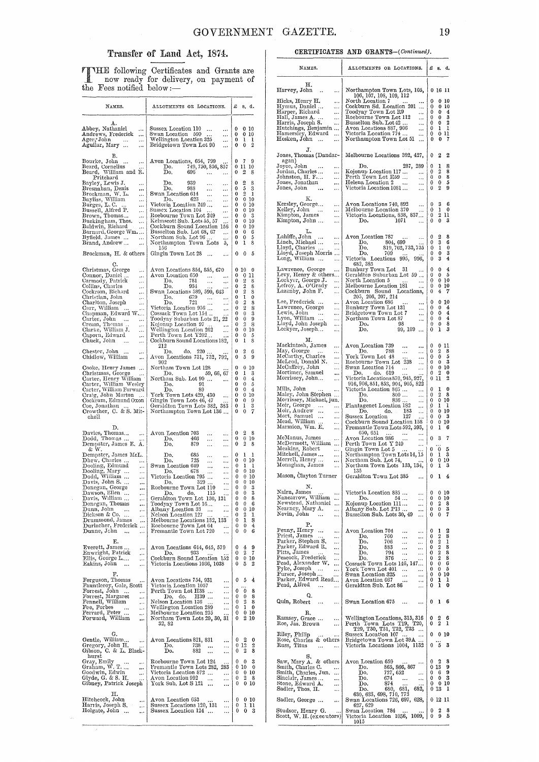# Transfer of Land Act, 1874.

TTHE following Certificates and Grants are<br>now ready for delivery, on payment of<br>the Fees notified below :-

| NAMES.                                                                                                                                                                                                                                                                                                                                                                                                                                      | ALLOTMENTS OR LOCATIONS.                                                                                                                                                                                                                                                                                                                                                                                                                                                                                 | £<br>s, d.                                                                                                                                                                                                                                                                                                                  |
|---------------------------------------------------------------------------------------------------------------------------------------------------------------------------------------------------------------------------------------------------------------------------------------------------------------------------------------------------------------------------------------------------------------------------------------------|----------------------------------------------------------------------------------------------------------------------------------------------------------------------------------------------------------------------------------------------------------------------------------------------------------------------------------------------------------------------------------------------------------------------------------------------------------------------------------------------------------|-----------------------------------------------------------------------------------------------------------------------------------------------------------------------------------------------------------------------------------------------------------------------------------------------------------------------------|
| д.<br>Abbey, Nathaniel<br>$\cdots$<br>Andrews, Frederick<br>$\cdots$<br>Ager,*John<br>$\ldots$<br>Aguilar, Mary<br>$\ddotsc$                                                                                                                                                                                                                                                                                                                | Sussex Location 110<br>$\sim$<br>$\ldots$<br>Swan Location 590<br>Nellington Location 325<br>$\ldots$<br>$\ddotsc$<br>Bridgetown Town Lot 90<br>                                                                                                                                                                                                                                                                                                                                                         | 0<br>$0\,10$<br>0<br>0 10<br>0<br>ı<br>1<br>$\overline{2}$<br>0<br>0                                                                                                                                                                                                                                                        |
| в.<br>Bourke, John<br>Beard, Cornelius<br>Beard, William and R.<br>$\cdots$<br>Pritchard                                                                                                                                                                                                                                                                                                                                                    | Avon Locations, 654, 799<br>$\mathbf{Do.}$ 749, 750, 856, 857<br>Do.<br>696<br>$\ddotsc$<br>$_{\rm Do.}^{\rm Do.}$<br>939<br>$\cdots$<br>988                                                                                                                                                                                                                                                                                                                                                             | 0<br>-7<br>9<br>0<br>11<br>10<br>0<br>2<br>8<br>0<br>2<br>8                                                                                                                                                                                                                                                                 |
| Bayley, Lewis J.<br>Bresnahan, Denis<br>Brockman, W. L.<br>$\cdots$<br><br>Bayliss, William<br>Burges, L. C.<br>D.<br><br><br>Bussell, Alfred P.<br>Brown, Thomas<br><br>$\cdots$<br>Buckingham, Thos.<br><br>Baldwin, Richard<br>Barnard, George Wm. …<br>Byfield James<br>$\ddotsc$<br>Brand, Andrew<br>$\ddotsc$<br>Brockman, H. & others                                                                                                | $\sim$ $\sim$<br>$\ldots$<br>Swan Location 614<br>Do. 623<br>$\ldots$<br>$\frac{100}{23}$<br>Victoria Location 249<br>Sussex Location 104<br>Roebourne There<br>$\cdots$<br>$\ldots$<br>$\cdots$<br>Roebourne Town Lot 249<br>$\cdots$<br>Kelmscott Sub. Lots 55, 57<br>Cockburn Sound Location 156<br>Busselton Sub. Lot 68, 67<br>Northam Sub. Lot 96<br>Northampton Town Lots<br><br>5,<br>156<br>Gingin Town Lot 28                                                                                  | 5<br>0<br>3<br>2<br>0<br>1<br>010<br>0<br>0<br>010<br>0<br>010<br>0<br>$\mathbf{0}$<br>- 3<br>0<br>$\bf{0}$<br>10<br>$\mathbf 0$<br>$\bf{0}$<br>10<br>0<br>$\mathbf{0}$<br>6<br>0<br>0<br>5<br>0<br>ı<br>8<br>0<br>0<br>5                                                                                                   |
| C.<br>Christmas, George<br>$\cdots$<br>Connor, Daniel …<br>$\ldots$<br>Carmody, Patrick<br>Collins, Charles<br>$\cdots$<br>$\ldots$<br>Coekram, Richard<br>$\cdots$<br>Christian, John<br>Charlton, Joseph<br>$\cdots$<br>$\ldots$<br>Carr, William …<br>$\ldots$<br>Chapman, Edward W….<br>Carter, John<br>Cream, Thomas<br>Clarke, William J.<br>Caporn, Edward<br>Chuck, John<br>$\ldots$<br>$\ldots$                                    | Avon Locations 854, 855, 670<br>Avon Location 650<br>781<br>Do.<br>$\ldots$<br>$\ldots$<br>934<br>Do.<br>Swan Locations 589, 590, 643<br>$\frac{679}{20}$<br>721<br>Do.<br>Do. 721<br>Victoria Location 956<br>Cossack Town Lot 154<br>$\cdots$<br>Toodyay Suburban Lots 21, 22<br>Kojonup Location 97<br>Wellington Location 262<br><br>Perth Town Lot Y202<br>Cockburn Sound Locations 182,<br>212                                                                                                     | 010<br>0<br>0<br>0<br>11<br>$\bf{0}$<br>2<br>8<br>$\overline{2}$<br>0<br>8<br>$\boldsymbol{2}$<br>0<br>8<br>0<br>1<br>0<br>2<br>0<br>8<br>$\overline{2}$<br>0<br>8<br>0<br>$\theta$<br>3<br>$\bf{0}$<br>$\bf{0}$<br>9<br>$\mathbf{0}$<br>2<br>8<br>0<br>$\bf{0}$<br>10<br>0<br>0<br>5<br>1<br>8<br>0                        |
| Chester, John<br><br>Chidlow, William<br>$\ddotsc$<br>Cooke, Henry James<br>Christmas, George–<br>Carter, Henry William<br>Carter, William Wesley<br>Carter, William Forward<br>Craig, John Morton<br>Cockram, Edmund Oxon<br>Coe, Jonathan<br>Crowther, C. & S. Mit-<br>chell                                                                                                                                                              | $220$ .<br>do,<br>Do.<br>Avon Locations 731, 732, 792,<br>902<br>Northam Town Lot 128<br>59, 66, 67<br>Do.<br>Northam Sub. Lot 90<br>91<br>Do.<br>89<br>Do.<br>York Town Lots 429, 430<br>Gingin Town Lots 46, 47<br>Geraldton Town Lots 382, 383<br>Northampton Town Lot 136                                                                                                                                                                                                                            | 0<br>2<br>6<br>5<br>9<br>0<br>10<br>0<br>0<br>3<br>0<br>1<br>4<br>0<br>0<br>0<br>0<br>5<br>$\mathbf 0$<br>$\overline{4}$<br>0<br>0<br>$\mathbf{0}$<br>10<br>$\bf{0}$<br>9<br>$\bf{0}$<br>3<br>0<br>1<br>0<br>0<br>7                                                                                                         |
| D.<br>Davies, Thomas<br>Dodd, Thomas<br>$\ddotsc$<br>Dempster, James E. A.                                                                                                                                                                                                                                                                                                                                                                  | Avon Location 703<br>$\ddotsc$<br>$\cdots$<br>466<br>Do.<br>$\cdots$<br><br>879<br>Do.<br>$\cdots$<br>                                                                                                                                                                                                                                                                                                                                                                                                   | 0<br>2<br>8<br>0<br>0<br>10<br>2<br>8<br>0                                                                                                                                                                                                                                                                                  |
| & W.<br>Dempster, James McL.<br>Dhew, Charles<br>Dooling, Edmund<br>$\ldots$<br>Dooling, Mary<br>Dodd, William<br>Davis, John S.<br>$\cdots$<br>$\cdots$<br>$\cdots$<br>Donegan, George<br>Dawson, Ellen<br>Davis, William<br>$\cdots$<br>$\cdots$<br>$\cdots$<br>Donegan, Thomas<br>$\cdots$<br>Dunn, John<br><br>$\ldots$<br>Dickson & Co. …<br>!<br>1<br>Drummond, James<br>Durlacher, Frederick<br>Dunne, Jchn<br>$\ddotsc$<br>$\ldots$ | 685<br>$\overline{\mathbf{D}}$ 0.<br>$\cdots$<br><br>725<br>Do.<br>$\cdots$<br>$\cdots$<br>Swan Location 649<br>Do. 678<br>$\ldots$<br><br>Do.<br>$\cdots$<br>$\cdots$<br>Victoria Location $795$<br><br>329<br>Do.<br>$\cdots$<br>Roebourne Town Lot 110<br><br>115<br>Do.<br>do,<br>Geraldton Town Lot 130, 131<br>Toodyay Town Lot 16<br>Albany Location 33<br>$\cdots$<br><br>Nelson Location 127<br>Melbourne Locations 132, 133<br>Roebourne Town Lot 64<br><br>Fremantle Town Lot 720<br>$\cdots$ | 0<br>1<br>1<br>0<br>10<br>0<br>0<br>1<br>1<br>0<br>$\bf{0}$<br>10<br>0<br>010<br>0 <sub>10</sub><br>0<br>0<br>0<br>3<br>$\mathbf{0}$<br>0<br>3<br>$\theta$<br>$\mathbf 0$<br>8<br>$\begin{bmatrix} 0 \\ 0 \end{bmatrix}$<br>$\overline{0}$<br>6<br>0<br>0<br>10<br>2<br>0<br>ı<br>1<br>0<br>8<br>4<br>0<br>0<br>0<br>0<br>6 |
| Е.<br>Everett, James<br>$\cdots$<br>Enwright, Patrick<br>$\cdots$<br>Ellis, George L<br>$\cdots$<br>Eakins, John<br>$\sim$<br>                                                                                                                                                                                                                                                                                                              | Avon Locations 644, 645, 579<br>Do.<br>933<br>Cockburn Sound Location 152<br>Victoria Locations 1036, 1038                                                                                                                                                                                                                                                                                                                                                                                               | 0<br>4<br>9<br>2<br>7<br>0<br>$\bf{0}$<br>0<br>10<br>0<br>5<br>2                                                                                                                                                                                                                                                            |
| F.<br>Ferguson, Thomas<br>Fauntleroy, Gale, Scott<br>Forrest, John<br>$\cdots$<br>$\cdots$<br>Forrest, Margaret<br>Fennell, William<br>$\ldots$<br>$\cdots$<br>Fee, Forbes<br>ree, Forbes<br>Ferrard, Peter<br>F<br>$\ldots$<br>$\ldots$<br>Forward, William<br>$\cdots$                                                                                                                                                                    | Avon Locations 754, 931<br>$\ldots$<br>Victoria Location 1057<br>$\cdots$<br>Perth Town Lot H38<br>$\ldots$<br>Do, do,<br>H39<br>$\ddotsc$<br>Nelson Location 136<br><br>Wellington Location 289<br>$\cdots$<br>Melbourne Location 235<br>Northam Town Lots 29, 30, 31<br>32, 82                                                                                                                                                                                                                         | 0<br>4<br>5<br>0<br>0<br>8<br>0<br>0<br>8<br>$\overline{2}$<br>0<br>8<br>$\bf{l}$<br>0<br>0<br>0<br>010<br>210<br>0                                                                                                                                                                                                         |
| G.<br>Gentle, William<br>$\cdots$<br>Gregory, John H.<br>Gibson, C. & L. Black-<br>hurst<br>Gray, Emily<br>Graham, W. T.<br>Goodwin, Edwin<br>$\ldots$<br>$\cdots$<br>$\cdots$<br>Glyde, G. & S. H.                                                                                                                                                                                                                                         | Avon Locations 821, 831<br><br>738<br>Do.<br><br><br>Do.<br>882<br>$\cdots$<br><br>Roebourne Town Lot 124<br>Fremantle Town Lots 282, 283<br>Victoria Location 872<br><br>Avon Location 992<br>$\ldots$<br>                                                                                                                                                                                                                                                                                              | 2<br>0<br>0<br>012<br>2<br>2<br>8<br>0<br>0<br>0<br>3<br>$0\,10$<br>0<br>0<br>010<br>2<br>0<br>8                                                                                                                                                                                                                            |
| Gibney, Patrick Joseph<br>н.<br>Hitchcock, John<br>$\ldots$<br>Har1is, Joseph S.<br>$\cdots$<br>Holgate, John<br>                                                                                                                                                                                                                                                                                                                           | York Sub. Lot S 121<br><br>Avon Location 653<br>$\cdots$<br>Sussex Locations 120, 131<br>$\cdots$<br>Sussex Location 124<br>                                                                                                                                                                                                                                                                                                                                                                             | 0<br>010<br>0<br>010<br>0<br>1 11<br>0<br>0<br>3                                                                                                                                                                                                                                                                            |

 $\bar{\phantom{a}}$ 

#### CERTIFICATES AND GRANTS-(Continued).

| NAMES.                                                                                              | ALLOTMENTS OR LOCATIONS.                                                                        | £         | в.                    | d.                           |
|-----------------------------------------------------------------------------------------------------|-------------------------------------------------------------------------------------------------|-----------|-----------------------|------------------------------|
| н.                                                                                                  |                                                                                                 |           |                       |                              |
| Harvey, John<br><br>Hicks, Henry H.                                                                 | Northampton Town Lots, 105,<br>$106, 107, 108, 109, 112$<br>North Location 7                    | 0         | 0 16 11<br>0          | 10                           |
| $\cdots$<br>Hymus, Daniel<br>Harper, Richard<br>$\ddotsc$                                           | Cockburn Sd. Location 201                                                                       | 0         |                       | 0, 10                        |
| <br>                                                                                                | Toodyay Town Lot R9<br>$\cdots$<br>Roebourne Town Lot 112<br>                                   | 0<br>0    | 0<br>0                | 4<br>3                       |
| Hall, James A.<br>Harris, Joseph S.<br>                                                             | Busselton Sub. Lot 42<br>                                                                       | 0<br>0    | 0                     | 2<br>1                       |
| Hutchings, Benjamin<br>Hamersley, Edward<br>Hocken Laba                                             | Avon Locations 887, 906<br>Victoria Location 774<br>$\ldots$<br>                                | 0         | ı                     | 0 11                         |
| Hosken, John<br>                                                                                    | Northampton Town Lot 51<br>                                                                     | 0         | $\bf{0}$              | 7                            |
| J.<br>Jones, Thomas (Dandar-                                                                        | Melbourne Locations 392, 427,                                                                   | 0         | 2                     | 2                            |
| agan)<br>Joyce, John<br>$\ddotsc$<br>$\rightarrow$ + $\rightarrow$                                  | 287, 289<br>Do.                                                                                 | 0         | ı                     | 8                            |
| Jordan, Charles<br>$\ddotsc$<br>Johnston, H. F….<br>$\cdots$                                        | Kojonup Location 117<br>$\cdots$<br>Perth Town Lot E59<br>$\ddotsc$                             | 0<br>0    | 2<br>0                | 8<br>8                       |
| Jones, Jonathan<br>$\ddotsc$                                                                        | Helena Location 2<br>$\ldots$<br>$\ddotsc$                                                      | 0         | 0                     | 5                            |
| Jones, John<br>$\ddotsc$<br>$\ldots$                                                                | Victoria Location 1081<br>$\ddotsc$                                                             | 0         | 2                     | 9                            |
| Κ.<br>Kersley, George<br>$\ldots$                                                                   | Avon Locations 740, 892<br>$\cdots$                                                             | 0         | 3                     | 6                            |
| Kelley, John<br>$\ldots$<br>Kimpton, James<br>$\ddotsc$                                             | Melbourne Location 370<br><br>Victoria Locations, 838, 837                                      | 0<br>0    | 1<br>2                | 0<br>11                      |
| Kimpton, John<br>$\ddotsc$                                                                          | 1071<br>Do.<br>$\ddotsc$                                                                        | 0         | 0                     | 3                            |
| L.<br>Lahiffe, John                                                                                 | Avon Location 787                                                                               | 0         | 2                     | 8                            |
| $\cdots$<br><br>Linch, Michael<br>$\ldots$                                                          | $\cdots$<br>804, 699<br>819, 762, 783, 735<br>Do.                                               | 0         | 3                     | 6                            |
| Lloyd, Charles<br>Lloyd, Joseph Morris<br>Long, William                                             | Do.<br>Do.<br>709                                                                               | 0<br>0    | ı<br>0                | 0<br>3                       |
|                                                                                                     | Victoria Locations 995,<br>996,<br>682, 385                                                     | 0         | 3                     | 4                            |
| Lawrence, George<br>                                                                                | Bunbury Town Lot<br>-31<br>                                                                     | 0         | 0                     | 4                            |
| Levy, Henry & others<br>Lockyer, George J.<br>$\ldots$                                              | Geraldton Suburban Lot 59<br>North Location 5<br>                                               | 0<br>0    | 0                     | 5<br>010                     |
| Lefroy, A. O'Grady<br>                                                                              | Melbourne Location 181<br>                                                                      | 0         | 0                     | 10                           |
| Lazenby, John F.<br>                                                                                | Cockburn Sound Locations, $205, 206, 207, 214$                                                  | 0         | 4                     | 7                            |
| Lee, Frederick<br>$\ldots$<br>Lawrence, George<br>                                                  | Avon Location 686<br><br>Bunbury Town Lot 131<br>                                               | 0<br>0    | 0<br>0                | 10<br>4                      |
| Lewis, John …<br>Lyon, William …<br>$\sim 100$<br>                                                  | Bridgetown Town Lot 7<br><br>Northam Town Lot 87                                                | 0<br>0    | 0<br>0                | 4<br>4                       |
| Lyon, William<br>Lloyd, John Joseph<br><br>                                                         | <br>Do.<br>98                                                                                   | 0         | 0                     | 8                            |
| Lockyer, Joseph<br>                                                                                 | 99, 109<br>Do.<br>$\cdots$                                                                      | 0         | ı                     | 3                            |
| м.<br>Mackintosh, James<br>                                                                         | Avon Location 739<br>$\cdots$<br>                                                               | 0         | 0                     | 11                           |
| May, George<br>$\ddotsc$                                                                            | 788<br>Do.<br>$\cdots$<br>$\cdots$<br>York Town Lot 48                                          | 0<br>0    | 2<br>0                | 8<br>5                       |
| McCarthy, Charles<br>McLeod, Donald N.<br><br>                                                      | <br>Roebourne Town Lot 238<br>                                                                  | 0         | 0                     | 3                            |
| McCaffrey, John<br>Mortimer, Samuel<br>$\ddotsc$<br>$\ddotsc$                                       | Swan Location 714<br>$\cdots$<br><br>Do.<br>do. 619                                             | 0<br>0    | 2                     | 0 <sub>10</sub><br>0         |
| Morrissey, John<br>                                                                                 |                                                                                                 | 0         | 11                    | 2                            |
| Mills, John<br>$\ddotsc$<br>$\cdots$                                                                | Victoria Locations 870, 945, 927,<br>916, 906, 851, 853, 904, 905, 822<br>Victoria Location 865 | 0         | 1                     | 0                            |
| Maley, John Stephen<br>Morrissey, Michael, jun.                                                     | Do.<br>$800\,\ldots$<br><br>Do.<br>836<br>$\cdots$                                              | 0<br>0    | $\boldsymbol{2}$      | 8<br>010                     |
| Moir, George<br>Moir, Andrew<br>$\leftrightarrow$<br>$\cdots$                                       | Plantagenet Location 182<br>$\cdots$<br>do.                                                     | 0<br>0    | 1<br>0                | ı                            |
| $\ldots$<br>$\cdots$<br>$\ldots$                                                                    | Do.<br>183<br>$\ddotsc$<br>127<br>Sussex Location                                               | 0         | 0                     | 10<br>3                      |
| Mort, Samuel<br>Mort, Samuel<br>Mead, William<br>Marmion, Wm. E.<br>$\cdots$<br>$\cdots$            | Cockburn Sound Location 158<br>Fremantle Town Lots 592, 593,                                    | 0<br>0    | ı                     | $0\,10$<br>6                 |
| MeManus, James<br>$\cdots$                                                                          | 650, 651<br>$\rightarrow$ 4.4 $\cdot$<br>$\ddotsc$<br>.                                         | 0         | 3                     | 7                            |
| McDermott, William                                                                                  | Avon Location 986<br>Perth Town Lot Y 249<br>Gingin Town Lot 5<br>Northampton Town Lots 14, 15  | 0         | 0                     | 5                            |
| Meakins, Robert<br>Mitchell, James<br>Morrell, Henry<br>$\cdots$<br>                                |                                                                                                 | 0         | ı                     | 3                            |
| $\cdots$<br>Monaghan, James<br>                                                                     | Northam Sub. Lot 74,<br>Northam Town Lots 133, 134,                                             | v<br>0    | 0<br>1                | 10<br>3                      |
| Mason, Clayton Turner                                                                               | 135<br>Geraldton Town Lot 385<br>$\cdots$                                                       | 0         | ı                     | 4                            |
| N.                                                                                                  |                                                                                                 |           |                       |                              |
| Nairn, James<br>$\cdots$                                                                            | Victoria Location 885<br>$\ddotsc$<br>Do.<br>54                                                 | 0<br>0    | 0<br>0                | 10<br>10                     |
| Nancarrow, William<br>Newstead, Nathaniel<br>Nearney, Mary A.<br><br>$\cdots$                       | <br>Kojonup Location 111<br>                                                                    | 0         | 2                     | 8                            |
| <br>Nevin, John<br>$\ddotsc$<br>                                                                    | Albany Sub. Lot P13<br><br>Busselton Sub. Lots 30, 49<br>                                       | 0<br>0    | 0<br>0                | 3<br>7                       |
| в.                                                                                                  |                                                                                                 |           |                       |                              |
| Penny, Henry<br>Priest, James<br>Parker, Stephen S.<br>Parker, Edward R.<br>Ditte Lames<br>$\cdots$ | Avon Location 704<br><br>$\cdots$<br>Do.<br>760                                                 | 0<br>0    | 1<br>2                | 2<br>$\overline{\mathbf{8}}$ |
| ,<br>                                                                                               | $\ldots$<br><br>Do.<br>706<br>$\ddotsc$<br>                                                     | 0         | 2                     | ı                            |
| <br>Pitts, James<br>                                                                                | 883<br>Do.<br><br><br>794<br>Do.<br><br>                                                        | 0<br>0    | $\boldsymbol{2}$<br>2 | 8<br>8                       |
| Peacock, Frederick<br>Pead, Alexander W.<br>Pyke, Joseph<br>$\ddotsc$<br>                           | Do.<br>876<br><br><br>Cossack Town Lots 146, 147                                                | 0<br>0    | $\boldsymbol{2}$<br>0 | 8<br>6                       |
| ,                                                                                                   | York Town Lot 401<br><br>                                                                       | 0         | 0                     | 5                            |
| Purser, Joseph<br>Parker, Edward Read<br>Pead, Alfred                                               | Swan Location 325<br>$\cdots$<br><br>Avon Location 667<br>.                                     | 0<br>0    | 1                     | 0 10<br>ı                    |
|                                                                                                     | Geraldton Sub. Lot 86<br>                                                                       | 0         | ı                     | 0                            |
| Q.<br>Quin, Robert<br><br>                                                                          | Swan Location 675<br>                                                                           | 0         | ı                     | 6                            |
| R.<br>Ramsey, Grace<br>                                                                             |                                                                                                 | 0         | 2                     | 6                            |
| Roe, Jas. Brown<br>                                                                                 | Wellington Locations, 315, 316<br>Perth Town Lots T19, T20,                                     | 0         | 2                     | 1                            |
| Riley, Philip<br>                                                                                   | T29, T30, T31, T32, T33<br>Sussex Location 107                                                  | 0         |                       | 010                          |
| Rose, Charles & others<br>Russ, Titus                                                               | Bridgetown Town Lot 39A<br>Victoria Locations 1004, 1132                                        | 0         | 5                     | 3                            |
| S.                                                                                                  |                                                                                                 |           |                       |                              |
| Saw, Mary A. & others<br>Smith, Charles C.<br>$\ddotsc$                                             | Avon Location 659<br>865, 866, 867<br>Do.                                                       | 0         | 2<br>0 13             | 8<br>9                       |
| Smith, Charles, Jun.                                                                                | 727, 652<br>Do.<br>                                                                             | 0         | -6                    | 9                            |
| Sinclair, James<br>Stone, Edward A.<br>$\ddotsc$<br>                                                | 674<br>Do.<br>$\sim$ $\sim$ $\sim$<br><br>874<br>Do.                                            | 0<br>0    | 0<br>010              | 3                            |
| Sadler, Thos. H.<br>                                                                                | 681,<br>682,<br>680,<br>Do.<br>630, 633, 698, 710, 773                                          | 0         | 13                    | ı                            |
| Sadler, George<br>$\ddotsc$                                                                         | Swan Locations 726, 697, 628,                                                                   |           | 0 12 11               |                              |
| Studsor, Henry G.                                                                                   | 627, 629<br>Swan Location 784                                                                   | 0         | 2                     | 8                            |
| Scott, W. H. (executors)                                                                            | Victoria Location 1056, 1009,<br>1015                                                           | $\vert 0$ | 9                     | 5                            |
|                                                                                                     |                                                                                                 |           |                       |                              |